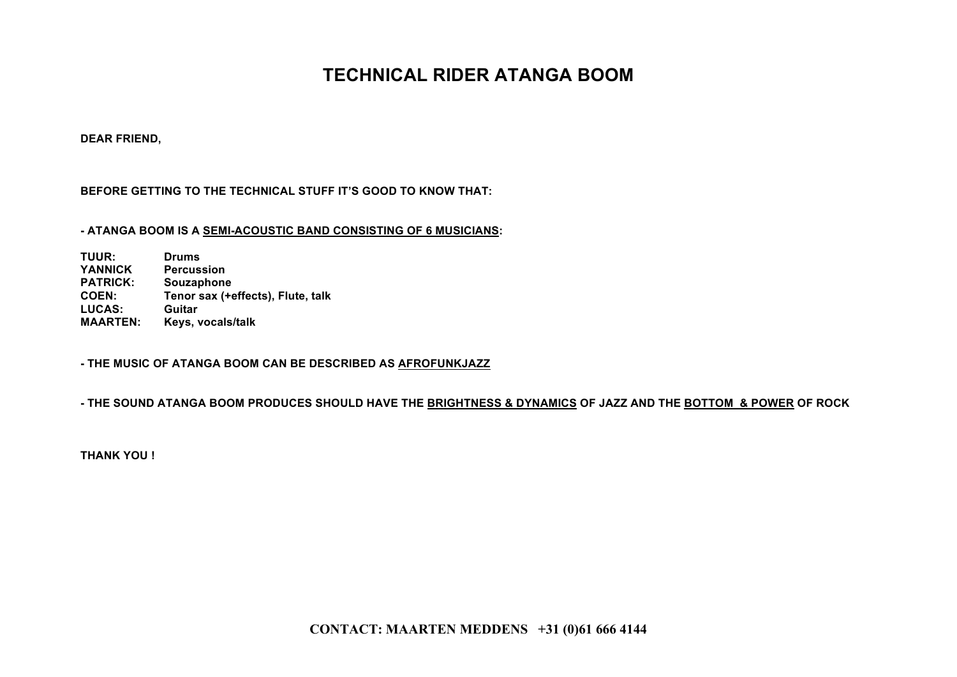### **TECHNICAL RIDER ATANGA BOOM**

**DEAR FRIEND,**

#### **BEFORE GETTING TO THE TECHNICAL STUFF IT'S GOOD TO KNOW THAT:**

#### **- ATANGA BOOM IS A SEMI-ACOUSTIC BAND CONSISTING OF 6 MUSICIANS:**

**TUUR: Drums YANNICK Percussion PATRICK: Souzaphone COEN: Tenor sax (+effects), Flute, talk** LUCAS: **MAARTEN: Keys, vocals/talk**

**- THE MUSIC OF ATANGA BOOM CAN BE DESCRIBED AS AFROFUNKJAZZ**

**- THE SOUND ATANGA BOOM PRODUCES SHOULD HAVE THE BRIGHTNESS & DYNAMICS OF JAZZ AND THE BOTTOM & POWER OF ROCK**

**THANK YOU !**

**CONTACT: MAARTEN MEDDENS +31 (0)61 666 4144**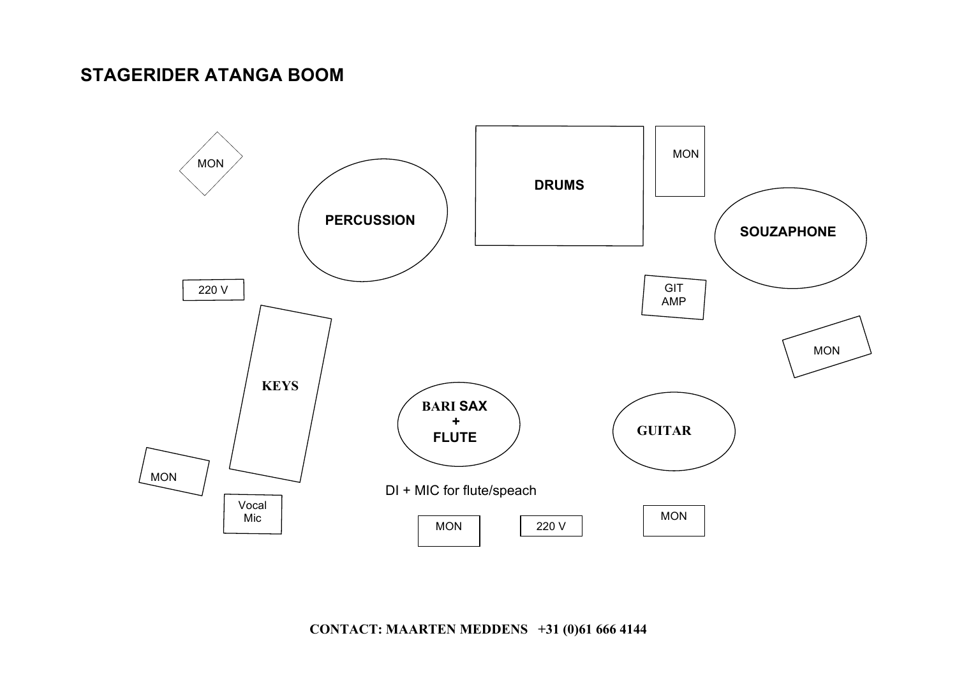### **STAGERIDER ATANGA BOOM**



**CONTACT: MAARTEN MEDDENS +31 (0)61 666 4144**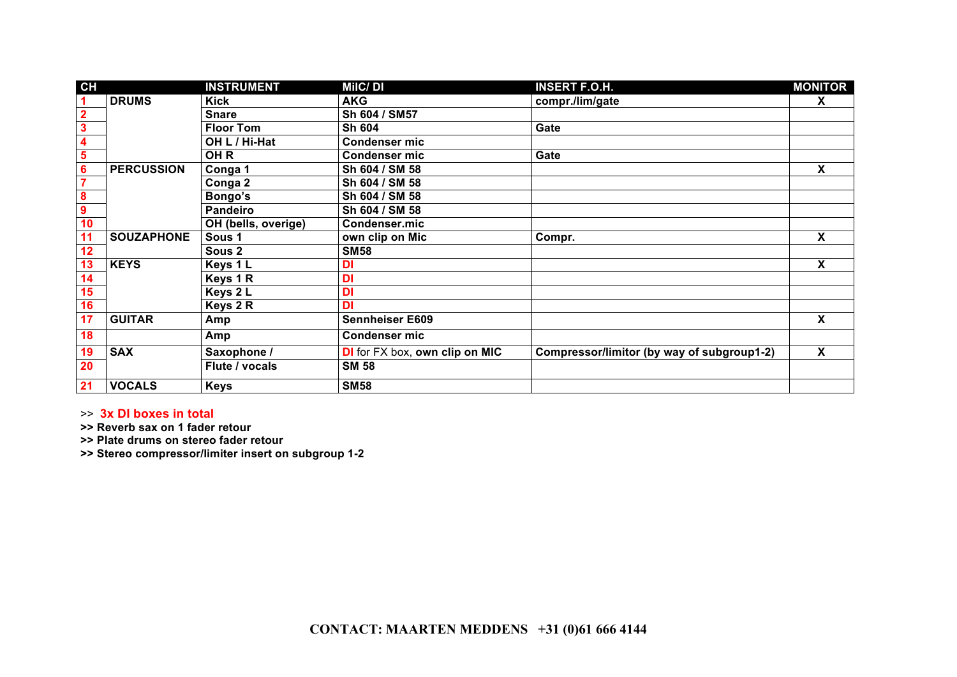| CH                      |                   | <b>INSTRUMENT</b>   | <b>MilC/DI</b>                        | <b>INSERT F.O.H.</b>                       | <b>MONITOR</b>            |
|-------------------------|-------------------|---------------------|---------------------------------------|--------------------------------------------|---------------------------|
| 1                       | <b>DRUMS</b>      | <b>Kick</b>         | <b>AKG</b>                            | compr./lim/gate                            | X                         |
| $\overline{\mathbf{2}}$ |                   | <b>Snare</b>        | Sh 604 / SM57                         |                                            |                           |
| $\overline{\mathbf{3}}$ |                   | <b>Floor Tom</b>    | <b>Sh 604</b>                         | Gate                                       |                           |
| 4                       |                   | OH L / Hi-Hat       | <b>Condenser mic</b>                  |                                            |                           |
| 5                       |                   | OH <sub>R</sub>     | <b>Condenser mic</b>                  | Gate                                       |                           |
| 6                       | <b>PERCUSSION</b> | Conga 1             | Sh 604 / SM 58                        |                                            | $\boldsymbol{\mathsf{X}}$ |
| 7                       |                   | Conga 2             | Sh 604 / SM 58                        |                                            |                           |
| 8                       |                   | Bongo's             | Sh 604 / SM 58                        |                                            |                           |
| $\boldsymbol{9}$        |                   | <b>Pandeiro</b>     | Sh 604 / SM 58                        |                                            |                           |
| 10                      |                   | OH (bells, overige) | Condenser.mic                         |                                            |                           |
| 11                      | <b>SOUZAPHONE</b> | Sous <sub>1</sub>   | own clip on Mic                       | Compr.                                     | X                         |
| 12                      |                   | Sous 2              | <b>SM58</b>                           |                                            |                           |
| 13                      | <b>KEYS</b>       | Keys 1 L            | DI                                    |                                            | X                         |
| 14                      |                   | Keys 1 R            | <b>DI</b>                             |                                            |                           |
| 15                      |                   | Keys 2 L            | <b>DI</b>                             |                                            |                           |
| 16                      |                   | Keys 2 R            | <b>DI</b>                             |                                            |                           |
| 17                      | <b>GUITAR</b>     | Amp                 | <b>Sennheiser E609</b>                |                                            | $\boldsymbol{\mathsf{X}}$ |
| 18                      |                   | Amp                 | <b>Condenser mic</b>                  |                                            |                           |
| 19                      | <b>SAX</b>        | Saxophone /         | <b>DI</b> for FX box, own clip on MIC | Compressor/limitor (by way of subgroup1-2) | $\overline{\mathbf{x}}$   |
| 20                      |                   | Flute / vocals      | <b>SM 58</b>                          |                                            |                           |
| 21                      | <b>VOCALS</b>     | <b>Keys</b>         | <b>SM58</b>                           |                                            |                           |

>> **3x DI boxes in total**

**>> Reverb sax on 1 fader retour**

**>> Plate drums on stereo fader retour** 

**>> Stereo compressor/limiter insert on subgroup 1-2**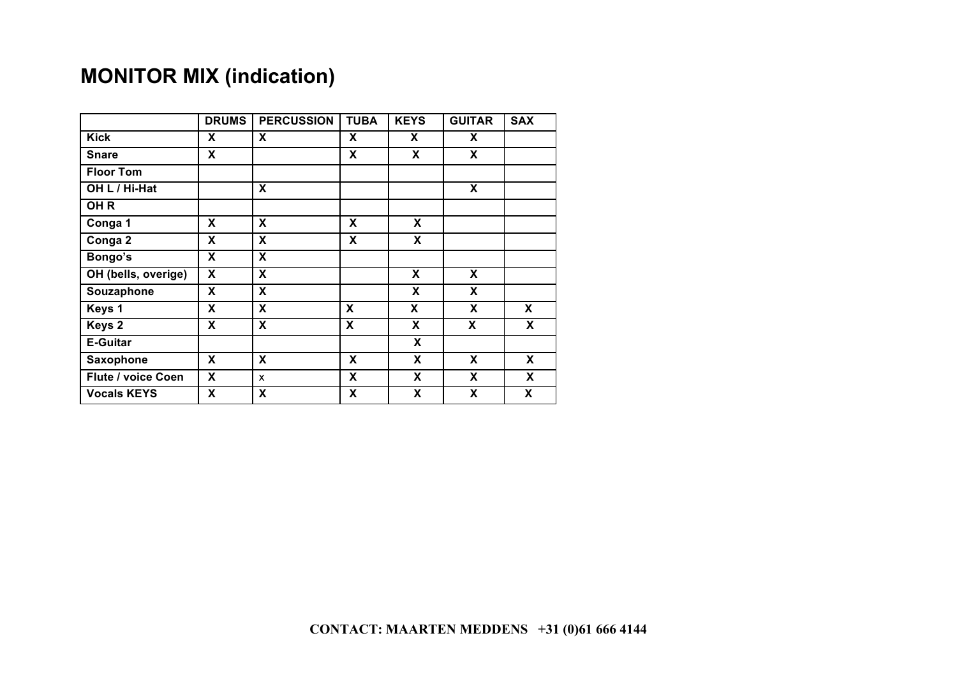# **MONITOR MIX (indication)**

|                           | <b>DRUMS</b> | <b>PERCUSSION</b> | <b>TUBA</b> | <b>KEYS</b> | <b>GUITAR</b> | <b>SAX</b> |
|---------------------------|--------------|-------------------|-------------|-------------|---------------|------------|
| <b>Kick</b>               | X            | X                 | X           | X.          | X             |            |
| <b>Snare</b>              | X            |                   | X           | X           | X             |            |
| <b>Floor Tom</b>          |              |                   |             |             |               |            |
| OH L / Hi-Hat             |              | X                 |             |             | X             |            |
| OH <sub>R</sub>           |              |                   |             |             |               |            |
| Conga 1                   | X            | X                 | X           | X           |               |            |
| Conga 2                   | X            | X                 | X           | X           |               |            |
| Bongo's                   | X            | X                 |             |             |               |            |
| OH (bells, overige)       | X            | X                 |             | X           | X             |            |
| Souzaphone                | X            | X                 |             | X           | X             |            |
| Keys 1                    | X            | X                 | X           | X           | X             | X          |
| Keys 2                    | X            | X                 | X           | X           | X             | X          |
| <b>E-Guitar</b>           |              |                   |             | X           |               |            |
| Saxophone                 | X            | X                 | X           | X           | X             | X          |
| <b>Flute / voice Coen</b> | X            | $\mathsf{x}$      | X           | X           | X             | X          |
| <b>Vocals KEYS</b>        | X            | X                 | X           | X           | X             | X          |